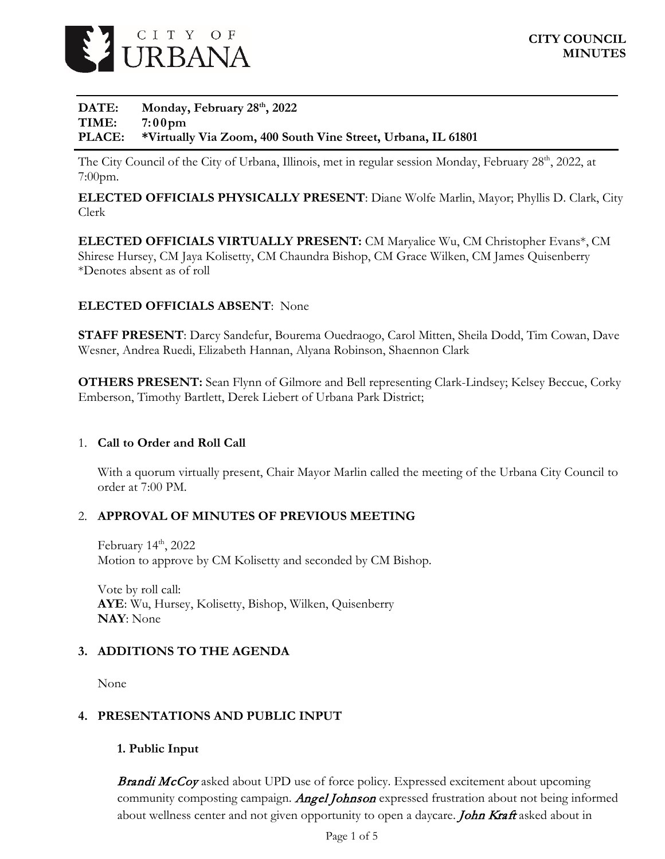

# **DATE: Monday, February 28th, 2022 TIME: 7:00pm PLACE: \*Virtually Via Zoom, 400 South Vine Street, Urbana, IL 61801**

The City Council of the City of Urbana, Illinois, met in regular session Monday, February 28<sup>th</sup>, 2022, at 7:00pm.

**ELECTED OFFICIALS PHYSICALLY PRESENT**: Diane Wolfe Marlin, Mayor; Phyllis D. Clark, City Clerk

**ELECTED OFFICIALS VIRTUALLY PRESENT:** CM Maryalice Wu, CM Christopher Evans\*, CM Shirese Hursey, CM Jaya Kolisetty, CM Chaundra Bishop, CM Grace Wilken, CM James Quisenberry \*Denotes absent as of roll

# **ELECTED OFFICIALS ABSENT**: None

**STAFF PRESENT**: Darcy Sandefur, Bourema Ouedraogo, Carol Mitten, Sheila Dodd, Tim Cowan, Dave Wesner, Andrea Ruedi, Elizabeth Hannan, Alyana Robinson, Shaennon Clark

**OTHERS PRESENT:** Sean Flynn of Gilmore and Bell representing Clark-Lindsey; Kelsey Beccue, Corky Emberson, Timothy Bartlett, Derek Liebert of Urbana Park District;

# 1. **Call to Order and Roll Call**

With a quorum virtually present, Chair Mayor Marlin called the meeting of the Urbana City Council to order at 7:00 PM.

# 2. **APPROVAL OF MINUTES OF PREVIOUS MEETING**

February 14<sup>th</sup>, 2022 Motion to approve by CM Kolisetty and seconded by CM Bishop.

Vote by roll call: **AYE**: Wu, Hursey, Kolisetty, Bishop, Wilken, Quisenberry **NAY**: None

# **3. ADDITIONS TO THE AGENDA**

None

# **4. PRESENTATIONS AND PUBLIC INPUT**

# **1. Public Input**

**Brandi McCoy** asked about UPD use of force policy. Expressed excitement about upcoming community composting campaign. Angel Johnson expressed frustration about not being informed about wellness center and not given opportunity to open a daycare. **John Kraft** asked about in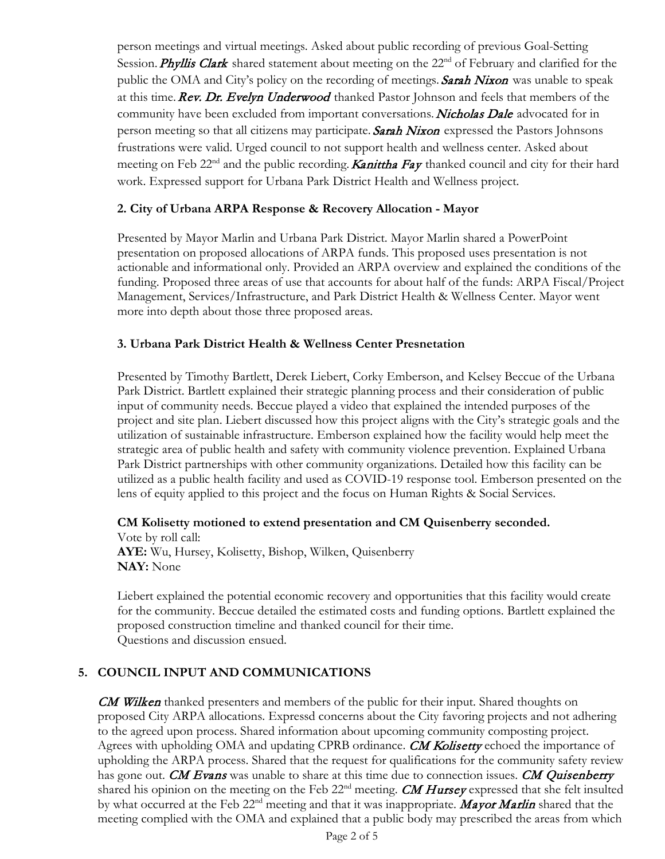person meetings and virtual meetings. Asked about public recording of previous Goal-Setting Session. Phyllis Clark shared statement about meeting on the 22<sup>nd</sup> of February and clarified for the public the OMA and City's policy on the recording of meetings. Sarah Nixon was unable to speak at this time. Rev. Dr. Evelyn Underwood thanked Pastor Johnson and feels that members of the community have been excluded from important conversations. Nicholas Dale advocated for in person meeting so that all citizens may participate. Sarah Nixon expressed the Pastors Johnsons frustrations were valid. Urged council to not support health and wellness center. Asked about meeting on Feb  $22<sup>nd</sup>$  and the public recording. **Kanittha Fay** thanked council and city for their hard work. Expressed support for Urbana Park District Health and Wellness project.

# **2. City of Urbana ARPA Response & Recovery Allocation - Mayor**

Presented by Mayor Marlin and Urbana Park District. Mayor Marlin shared a PowerPoint presentation on proposed allocations of ARPA funds. This proposed uses presentation is not actionable and informational only. Provided an ARPA overview and explained the conditions of the funding. Proposed three areas of use that accounts for about half of the funds: ARPA Fiscal/Project Management, Services/Infrastructure, and Park District Health & Wellness Center. Mayor went more into depth about those three proposed areas.

# **3. Urbana Park District Health & Wellness Center Presnetation**

Presented by Timothy Bartlett, Derek Liebert, Corky Emberson, and Kelsey Beccue of the Urbana Park District. Bartlett explained their strategic planning process and their consideration of public input of community needs. Beccue played a video that explained the intended purposes of the project and site plan. Liebert discussed how this project aligns with the City's strategic goals and the utilization of sustainable infrastructure. Emberson explained how the facility would help meet the strategic area of public health and safety with community violence prevention. Explained Urbana Park District partnerships with other community organizations. Detailed how this facility can be utilized as a public health facility and used as COVID-19 response tool. Emberson presented on the lens of equity applied to this project and the focus on Human Rights & Social Services.

# **CM Kolisetty motioned to extend presentation and CM Quisenberry seconded.**

Vote by roll call: **AYE:** Wu, Hursey, Kolisetty, Bishop, Wilken, Quisenberry **NAY:** None

Liebert explained the potential economic recovery and opportunities that this facility would create for the community. Beccue detailed the estimated costs and funding options. Bartlett explained the proposed construction timeline and thanked council for their time. Questions and discussion ensued.

# **5. COUNCIL INPUT AND COMMUNICATIONS**

CM Wilken thanked presenters and members of the public for their input. Shared thoughts on proposed City ARPA allocations. Expressd concerns about the City favoring projects and not adhering to the agreed upon process. Shared information about upcoming community composting project. Agrees with upholding OMA and updating CPRB ordinance. CM Kolisetty echoed the importance of upholding the ARPA process. Shared that the request for qualifications for the community safety review has gone out. CM Evans was unable to share at this time due to connection issues. CM Quisenberry shared his opinion on the meeting on the Feb 22<sup>nd</sup> meeting. CM Hursey expressed that she felt insulted by what occurred at the Feb 22<sup>nd</sup> meeting and that it was inappropriate. Mayor Marlin shared that the meeting complied with the OMA and explained that a public body may prescribed the areas from which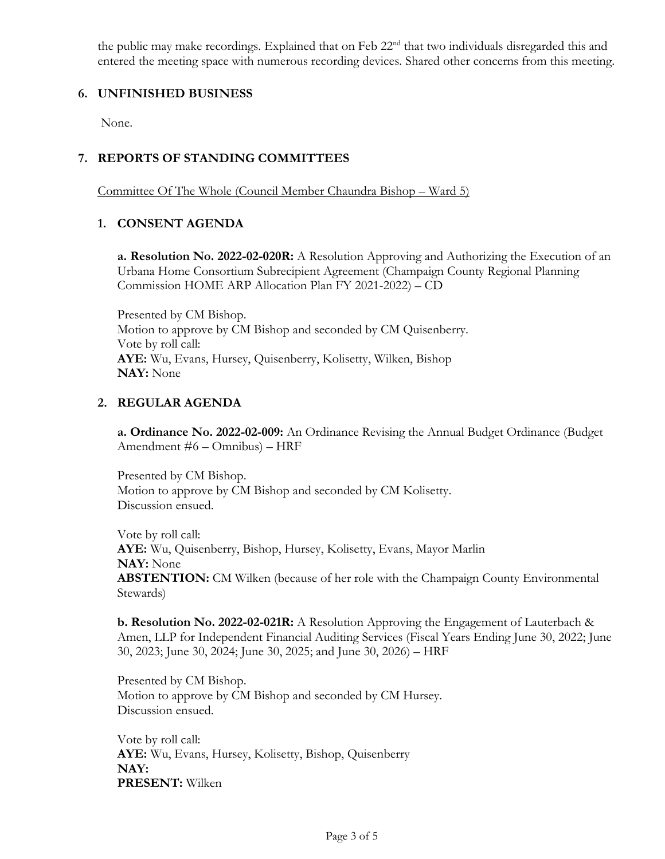the public may make recordings. Explained that on Feb 22<sup>nd</sup> that two individuals disregarded this and entered the meeting space with numerous recording devices. Shared other concerns from this meeting.

# **6. UNFINISHED BUSINESS**

None.

# **7. REPORTS OF STANDING COMMITTEES**

Committee Of The Whole (Council Member Chaundra Bishop – Ward 5)

# **1. CONSENT AGENDA**

**a. Resolution No. 2022-02-020R:** A Resolution Approving and Authorizing the Execution of an Urbana Home Consortium Subrecipient Agreement (Champaign County Regional Planning Commission HOME ARP Allocation Plan FY 2021-2022) – CD

Presented by CM Bishop. Motion to approve by CM Bishop and seconded by CM Quisenberry. Vote by roll call: **AYE:** Wu, Evans, Hursey, Quisenberry, Kolisetty, Wilken, Bishop **NAY:** None

# **2. REGULAR AGENDA**

**a. Ordinance No. 2022-02-009:** An Ordinance Revising the Annual Budget Ordinance (Budget Amendment #6 – Omnibus) – HRF

Presented by CM Bishop. Motion to approve by CM Bishop and seconded by CM Kolisetty. Discussion ensued.

Vote by roll call: **AYE:** Wu, Quisenberry, Bishop, Hursey, Kolisetty, Evans, Mayor Marlin **NAY:** None **ABSTENTION:** CM Wilken (because of her role with the Champaign County Environmental Stewards)

**b. Resolution No. 2022-02-021R:** A Resolution Approving the Engagement of Lauterbach & Amen, LLP for Independent Financial Auditing Services (Fiscal Years Ending June 30, 2022; June 30, 2023; June 30, 2024; June 30, 2025; and June 30, 2026) – HRF

Presented by CM Bishop. Motion to approve by CM Bishop and seconded by CM Hursey. Discussion ensued.

Vote by roll call: **AYE:** Wu, Evans, Hursey, Kolisetty, Bishop, Quisenberry **NAY: PRESENT:** Wilken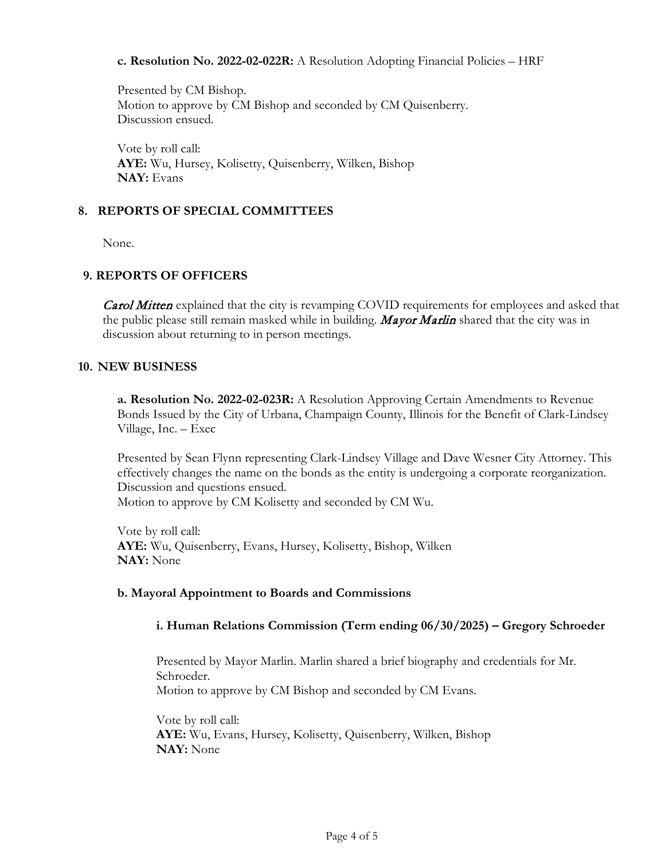#### **c. Resolution No. 2022-02-022R:** A Resolution Adopting Financial Policies – HRF

Presented by CM Bishop. Motion to approve by CM Bishop and seconded by CM Quisenberry. Discussion ensued.

Vote by roll call: **AYE:** Wu, Hursey, Kolisetty, Quisenberry, Wilken, Bishop **NAY:** Evans

#### **8. REPORTS OF SPECIAL COMMITTEES**

None.

# **9. REPORTS OF OFFICERS**

**Carol Mitten** explained that the city is revamping COVID requirements for employees and asked that the public please still remain masked while in building. Mayor Marlin shared that the city was in discussion about returning to in person meetings.

#### **10. NEW BUSINESS**

**a. Resolution No. 2022-02-023R:** A Resolution Approving Certain Amendments to Revenue Bonds Issued by the City of Urbana, Champaign County, Illinois for the Benefit of Clark-Lindsey Village, Inc. – Exec

Presented by Sean Flynn representing Clark-Lindsey Village and Dave Wesner City Attorney. This effectively changes the name on the bonds as the entity is undergoing a corporate reorganization. Discussion and questions ensued.

Motion to approve by CM Kolisetty and seconded by CM Wu.

Vote by roll call: **AYE:** Wu, Quisenberry, Evans, Hursey, Kolisetty, Bishop, Wilken **NAY:** None

# **b. Mayoral Appointment to Boards and Commissions**

# **i. Human Relations Commission (Term ending 06/30/2025) – Gregory Schroeder**

Presented by Mayor Marlin. Marlin shared a brief biography and credentials for Mr. Schroeder. Motion to approve by CM Bishop and seconded by CM Evans.

Vote by roll call: **AYE:** Wu, Evans, Hursey, Kolisetty, Quisenberry, Wilken, Bishop **NAY:** None